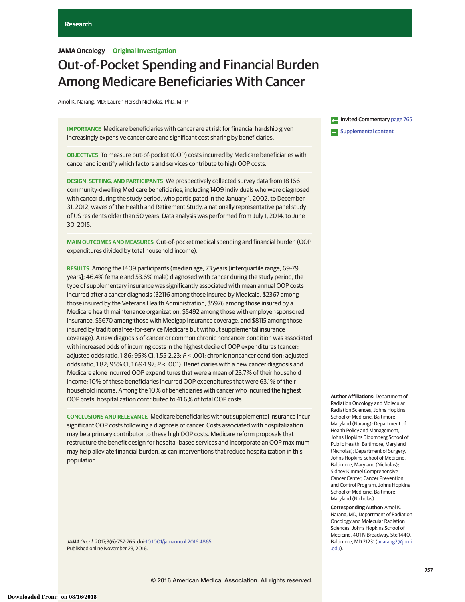## **JAMA Oncology | Original Investigation**

# Out-of-Pocket Spending and Financial Burden Among Medicare Beneficiaries With Cancer

Amol K. Narang, MD; Lauren Hersch Nicholas, PhD, MPP

**IMPORTANCE** Medicare beneficiaries with cancer are at risk for financial hardship given increasingly expensive cancer care and significant cost sharing by beneficiaries.

**OBJECTIVES** To measure out-of-pocket (OOP) costs incurred by Medicare beneficiaries with cancer and identify which factors and services contribute to high OOP costs.

**DESIGN, SETTING, AND PARTICIPANTS** We prospectively collected survey data from 18 166 community-dwelling Medicare beneficiaries, including 1409 individuals who were diagnosed with cancer during the study period, who participated in the January 1, 2002, to December 31, 2012, waves of the Health and Retirement Study, a nationally representative panel study of US residents older than 50 years. Data analysis was performed from July 1, 2014, to June 30, 2015.

**MAIN OUTCOMES AND MEASURES** Out-of-pocket medical spending and financial burden (OOP expenditures divided by total household income).

**RESULTS** Among the 1409 participants (median age, 73 years [interquartile range, 69-79 years]; 46.4% female and 53.6% male) diagnosed with cancer during the study period, the type of supplementary insurance was significantly associated with mean annual OOP costs incurred after a cancer diagnosis (\$2116 among those insured by Medicaid, \$2367 among those insured by the Veterans Health Administration, \$5976 among those insured by a Medicare health maintenance organization, \$5492 among those with employer-sponsored insurance, \$5670 among those with Medigap insurance coverage, and \$8115 among those insured by traditional fee-for-service Medicare but without supplemental insurance coverage). A new diagnosis of cancer or common chronic noncancer condition was associated with increased odds of incurring costs in the highest decile of OOP expenditures (cancer: adjusted odds ratio, 1.86; 95% CI, 1.55-2.23; P < .001; chronic noncancer condition: adjusted odds ratio, 1.82; 95% CI, 1.69-1.97; P < .001). Beneficiaries with a new cancer diagnosis and Medicare alone incurred OOP expenditures that were a mean of 23.7% of their household income; 10% of these beneficiaries incurred OOP expenditures that were 63.1% of their household income. Among the 10% of beneficiaries with cancer who incurred the highest OOP costs, hospitalization contributed to 41.6% of total OOP costs.

**CONCLUSIONS AND RELEVANCE** Medicare beneficiaries without supplemental insurance incur significant OOP costs following a diagnosis of cancer. Costs associated with hospitalization may be a primary contributor to these high OOP costs. Medicare reform proposals that restructure the benefit design for hospital-based services and incorporate an OOP maximum may help alleviate financial burden, as can interventions that reduce hospitalization in this population.

JAMA Oncol. 2017;3(6):757-765. doi[:10.1001/jamaoncol.2016.4865](http://jama.jamanetwork.com/article.aspx?doi=10.1001/jamaoncol.2016.4865&utm_campaign=articlePDF%26utm_medium=articlePDFlink%26utm_source=articlePDF%26utm_content=jamaoncol.2016.4865) Published online November 23, 2016.

Invited Commentary [page 765](http://jama.jamanetwork.com/article.aspx?doi=10.1001/jamaoncol.2016.4850&utm_campaign=articlePDF%26utm_medium=articlePDFlink%26utm_source=articlePDF%26utm_content=jamaoncol.2016.4865)

**[Supplemental content](http://jama.jamanetwork.com/article.aspx?doi=10.1001/jamaoncol.2016.4865&utm_campaign=articlePDF%26utm_medium=articlePDFlink%26utm_source=articlePDF%26utm_content=jamaoncol.2016.4865)** 

**Author Affiliations:** Department of Radiation Oncology and Molecular Radiation Sciences, Johns Hopkins School of Medicine, Baltimore, Maryland (Narang); Department of Health Policy and Management, Johns Hopkins Bloomberg School of Public Health, Baltimore, Maryland (Nicholas); Department of Surgery, Johns Hopkins School of Medicine, Baltimore, Maryland (Nicholas); Sidney Kimmel Comprehensive Cancer Center, Cancer Prevention and Control Program, Johns Hopkins School of Medicine, Baltimore, Maryland (Nicholas).

**Corresponding Author:** Amol K. Narang, MD, Department of Radiation Oncology and Molecular Radiation Sciences, Johns Hopkins School of Medicine, 401 N Broadway, Ste 1440, Baltimore, MD 21231 [\(anarang2@jhmi](mailto:anarang2@jhmi.edu) [.edu\)](mailto:anarang2@jhmi.edu).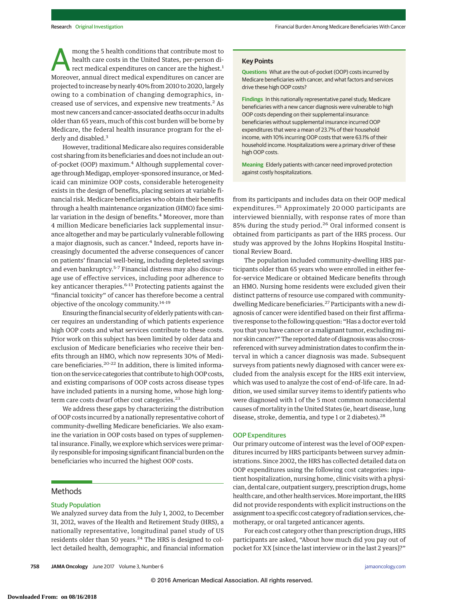mong the 5 health conditions that contribute most to health care costs in the United States, per-person direct medical expenditures on cancer are the highest.<sup>1</sup> Moreover, annual direct medical expenditures on cancer are projected to increase by nearly 40% from 2010 to 2020, largely owing to a combination of changing demographics, increased use of services, and expensive new treatments.<sup>2</sup> As most new cancers and cancer-associated deaths occur in adults older than 65 years, much of this cost burden will be borne by Medicare, the federal health insurance program for the elderly and disabled.<sup>3</sup>

However, traditional Medicare also requires considerable cost sharing from its beneficiaries and does not include an outof-pocket (OOP) maximum.<sup>4</sup> Although supplemental coverage through Medigap, employer-sponsored insurance, or Medicaid can minimize OOP costs, considerable heterogeneity exists in the design of benefits, placing seniors at variable financial risk. Medicare beneficiaries who obtain their benefits through a health maintenance organization (HMO) face similar variation in the design of benefits.<sup>4</sup> Moreover, more than 4 million Medicare beneficiaries lack supplemental insurance altogether and may be particularly vulnerable following a major diagnosis, such as cancer.<sup>4</sup> Indeed, reports have increasingly documented the adverse consequences of cancer on patients' financial well-being, including depleted savings and even bankruptcy.<sup>5-7</sup> Financial distress may also discourage use of effective services, including poor adherence to key anticancer therapies.<sup>6-13</sup> Protecting patients against the "financial toxicity" of cancer has therefore become a central objective of the oncology community.<sup>14-19</sup>

Ensuring the financial security of elderly patients with cancer requires an understanding of which patients experience high OOP costs and what services contribute to these costs. Prior work on this subject has been limited by older data and exclusion of Medicare beneficiaries who receive their benefits through an HMO, which now represents 30% of Medicare beneficiaries.<sup>20-22</sup> In addition, there is limited information on the service categories that contribute to high OOP costs, and existing comparisons of OOP costs across disease types have included patients in a nursing home, whose high longterm care costs dwarf other cost categories.<sup>23</sup>

We address these gaps by characterizing the distribution of OOP costs incurred by a nationally representative cohort of community-dwelling Medicare beneficiaries. We also examine the variation in OOP costs based on types of supplemental insurance. Finally, we explore which services were primarily responsible for imposing significant financial burden on the beneficiaries who incurred the highest OOP costs.

## Methods

#### Study Population

We analyzed survey data from the July 1, 2002, to December 31, 2012, waves of the Health and Retirement Study (HRS), a nationally representative, longitudinal panel study of US residents older than 50 years. $24$  The HRS is designed to collect detailed health, demographic, and financial information **Questions** What are the out-of-pocket (OOP) costs incurred by Medicare beneficiaries with cancer, and what factors and services drive these high OOP costs?

**Findings** In this nationally representative panel study, Medicare beneficiaries with a new cancer diagnosis were vulnerable to high OOP costs depending on their supplemental insurance: beneficiaries without supplemental insurance incurred OOP expenditures that were a mean of 23.7% of their household income, with 10% incurring OOP costs that were 63.1% of their household income. Hospitalizations were a primary driver of these high OOP costs.

**Meaning** Elderly patients with cancer need improved protection against costly hospitalizations.

from its participants and includes data on their OOP medical expenditures.<sup>25</sup> Approximately 20 000 participants are interviewed biennially, with response rates of more than 85% during the study period.<sup>26</sup> Oral informed consent is obtained from participants as part of the HRS process. Our study was approved by the Johns Hopkins Hospital Institutional Review Board.

The population included community-dwelling HRS participants older than 65 years who were enrolled in either feefor-service Medicare or obtained Medicare benefits through an HMO. Nursing home residents were excluded given their distinct patterns of resource use compared with communitydwelling Medicare beneficiaries.27 Participants with a new diagnosis of cancer were identified based on their first affirmative response to the following question: "Has a doctor ever told you that you have cancer or a malignant tumor, excluding minor skin cancer?" The reported date of diagnosis was also crossreferenced with survey administration dates to confirm the interval in which a cancer diagnosis was made. Subsequent surveys from patients newly diagnosed with cancer were excluded from the analysis except for the HRS exit interview, which was used to analyze the cost of end-of-life care. In addition, we used similar survey items to identify patients who were diagnosed with 1 of the 5 most common nonaccidental causes of mortality in the United States (ie, heart disease, lung disease, stroke, dementia, and type 1 or 2 diabetes).<sup>28</sup>

#### OOP Expenditures

Our primary outcome of interest was the level of OOP expenditures incurred by HRS participants between survey administrations. Since 2002, the HRS has collected detailed data on OOP expenditures using the following cost categories: inpatient hospitalization, nursing home, clinic visits with a physician, dental care, outpatient surgery, prescription drugs, home health care, and other health services.More important, the HRS did not provide respondents with explicit instructions on the assignment to a specific cost category of radiation services, chemotherapy, or oral targeted anticancer agents.

For each cost category other than prescription drugs, HRS participants are asked, "About how much did you pay out of pocket for XX [since the last interview or in the last 2 years]?"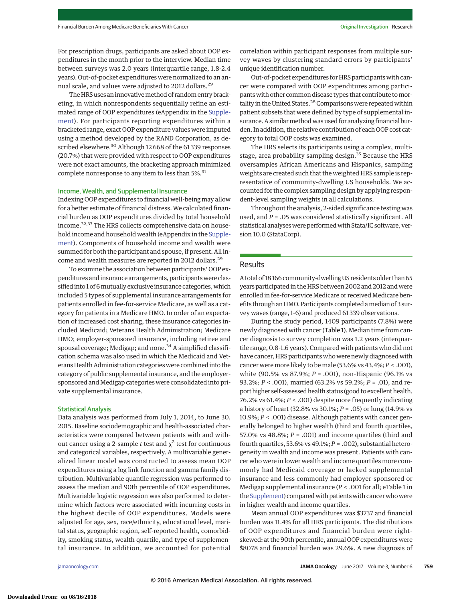For prescription drugs, participants are asked about OOP expenditures in the month prior to the interview. Median time between surveys was 2.0 years (interquartile range, 1.8-2.4 years). Out-of-pocket expenditures were normalized to an annual scale, and values were adjusted to 2012 dollars.<sup>29</sup>

The HRS uses an innovative method of random entry bracketing, in which nonrespondents sequentially refine an estimated range of OOP expenditures (eAppendix in the [Supple](http://jama.jamanetwork.com/article.aspx?doi=10.1001/jamaoncol.2016.4865&utm_campaign=articlePDF%26utm_medium=articlePDFlink%26utm_source=articlePDF%26utm_content=jamaoncol.2016.4865)[ment\)](http://jama.jamanetwork.com/article.aspx?doi=10.1001/jamaoncol.2016.4865&utm_campaign=articlePDF%26utm_medium=articlePDFlink%26utm_source=articlePDF%26utm_content=jamaoncol.2016.4865). For participants reporting expenditures within a bracketed range, exact OOP expenditure values were imputed using a method developed by the RAND Corporation, as described elsewhere.<sup>30</sup> Although 12 668 of the 61 339 responses (20.7%) that were provided with respect to OOP expenditures were not exact amounts, the bracketing approach minimized complete nonresponse to any item to less than 5%.<sup>31</sup>

#### Income, Wealth, and Supplemental Insurance

Indexing OOP expenditures to financial well-being may allow for a better estimate of financial distress. We calculated financial burden as OOP expenditures divided by total household income.32,33 The HRS collects comprehensive data on household income and household wealth (eAppendix in the [Supple](http://jama.jamanetwork.com/article.aspx?doi=10.1001/jamaoncol.2016.4865&utm_campaign=articlePDF%26utm_medium=articlePDFlink%26utm_source=articlePDF%26utm_content=jamaoncol.2016.4865)[ment\)](http://jama.jamanetwork.com/article.aspx?doi=10.1001/jamaoncol.2016.4865&utm_campaign=articlePDF%26utm_medium=articlePDFlink%26utm_source=articlePDF%26utm_content=jamaoncol.2016.4865). Components of household income and wealth were summed for both the participant and spouse, if present. All income and wealth measures are reported in 2012 dollars.<sup>29</sup>

To examine the association between participants' OOP expenditures and insurance arrangements, participants were classified into 1 of 6 mutually exclusive insurance categories, which included 5 types of supplemental insurance arrangements for patients enrolled in fee-for-service Medicare, as well as a category for patients in a Medicare HMO. In order of an expectation of increased cost sharing, these insurance categories included Medicaid; Veterans Health Administration; Medicare HMO; employer-sponsored insurance, including retiree and spousal coverage; Medigap; and none.<sup>34</sup> A simplified classification schema was also used in which the Medicaid and Veterans Health Administration categorieswere combined into the category of public supplemental insurance, and the employersponsored and Medigap categories were consolidated into private supplemental insurance.

#### Statistical Analysis

Data analysis was performed from July 1, 2014, to June 30, 2015. Baseline sociodemographic and health-associated characteristics were compared between patients with and without cancer using a 2-sample *t* test and  $\chi^2$  test for continuous and categorical variables, respectively. A multivariable generalized linear model was constructed to assess mean OOP expenditures using a log link function and gamma family distribution. Multivariable quantile regression was performed to assess the median and 90th percentile of OOP expenditures. Multivariable logistic regression was also performed to determine which factors were associated with incurring costs in the highest decile of OOP expenditures. Models were adjusted for age, sex, race/ethnicity, educational level, marital status, geographic region, self-reported health, comorbidity, smoking status, wealth quartile, and type of supplemental insurance. In addition, we accounted for potential

correlation within participant responses from multiple survey waves by clustering standard errors by participants' unique identification number.

Out-of-pocket expenditures for HRS participants with cancer were compared with OOP expenditures among participants with other common disease types that contribute tomortality in the United States.<sup>28</sup> Comparisons were repeated within patient subsets that were defined by type of supplemental insurance. A similar method was used for analyzing financial burden. In addition, the relative contribution of each OOP cost category to total OOP costs was examined.

The HRS selects its participants using a complex, multistage, area probability sampling design.<sup>35</sup> Because the HRS oversamples African Americans and Hispanics, sampling weights are created such that the weighted HRS sample is representative of community-dwelling US households. We accounted for the complex sampling design by applying respondent-level sampling weights in all calculations.

Throughout the analysis, 2-sided significance testing was used, and *P* = .05 was considered statistically significant. All statistical analyses were performed with Stata/IC software, version 10.0 (StataCorp).

## **Results**

A total of 18 166 community-dwelling US residents older than 65 years participated in the HRS between 2002 and 2012 and were enrolled in fee-for-service Medicare or received Medicare benefits through an HMO. Participants completed amedian of 3 survey waves (range, 1-6) and produced 61 339 observations.

During the study period, 1409 participants (7.8%) were newly diagnosed with cancer (Table 1). Median time from cancer diagnosis to survey completion was 1.2 years (interquartile range, 0.8-1.6 years). Compared with patients who did not have cancer, HRS participants who were newly diagnosed with cancer were more likely to be male (53.6% vs 43.4%; *P* < .001), white (90.5% vs 87.9%; *P* = .001), non-Hispanic (96.1% vs 93.2%; *P* < .001), married (63.2% vs 59.2%; *P* = .01), and report higher self-assessed health status (good to excellent health, 76.2% vs 61.4%; *P* < .001) despite more frequently indicating a history of heart (32.8% vs 30.1%; *P* = .05) or lung (14.9% vs 10.9%; *P* < .001) disease. Although patients with cancer generally belonged to higher wealth (third and fourth quartiles, 57.0% vs 48.8%; *P* = .001) and income quartiles (third and fourth quartiles, 53.6% vs 49.1%;*P* = .002), substantial heterogeneity in wealth and income was present. Patients with cancer who were in lower wealth and income quartiles more commonly had Medicaid coverage or lacked supplemental insurance and less commonly had employer-sponsored or Medigap supplemental insurance (*P* < .001 for all; eTable 1 in the [Supplement\)](http://jama.jamanetwork.com/article.aspx?doi=10.1001/jamaoncol.2016.4865&utm_campaign=articlePDF%26utm_medium=articlePDFlink%26utm_source=articlePDF%26utm_content=jamaoncol.2016.4865) compared with patients with cancer who were in higher wealth and income quartiles.

Mean annual OOP expenditures was \$3737 and financial burden was 11.4% for all HRS participants. The distributions of OOP expenditures and financial burden were rightskewed: at the 90th percentile, annual OOP expenditures were \$8078 and financial burden was 29.6%. A new diagnosis of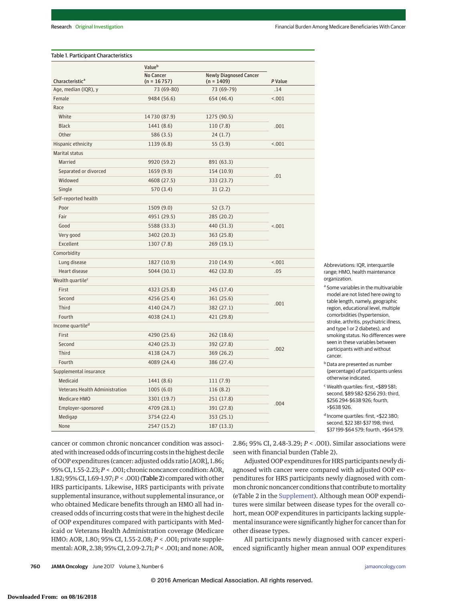#### Table 1. Participant Characteristics

|                                | Valueb                            |                                               |         |  |
|--------------------------------|-----------------------------------|-----------------------------------------------|---------|--|
| Characteristic <sup>a</sup>    | <b>No Cancer</b><br>$(n = 16757)$ | <b>Newly Diagnosed Cancer</b><br>$(n = 1409)$ | P Value |  |
| Age, median (IQR), y           | 73 (69-80)                        | 73 (69-79)                                    | .14     |  |
| Female                         | 9484 (56.6)                       | 654 (46.4)                                    | < .001  |  |
| Race                           |                                   |                                               |         |  |
| White                          | 14730 (87.9)                      | 1275 (90.5)                                   |         |  |
| <b>Black</b>                   | 1441 (8.6)                        | 110 (7.8)                                     | .001    |  |
| Other                          | 586 (3.5)                         | 24(1.7)                                       |         |  |
| Hispanic ethnicity             | 1139 (6.8)                        | 55 (3.9)                                      | < .001  |  |
| Marital status                 |                                   |                                               |         |  |
| <b>Married</b>                 | 9920 (59.2)                       | 891 (63.3)                                    |         |  |
| Separated or divorced          | 1659(9.9)                         | 154 (10.9)                                    | .01     |  |
| Widowed                        | 4608 (27.5)                       | 333 (23.7)                                    |         |  |
| Single                         | 570 (3.4)                         | 31(2.2)                                       |         |  |
| Self-reported health           |                                   |                                               |         |  |
| Poor                           | 1509(9.0)                         | 52(3.7)                                       | < .001  |  |
| Fair                           | 4951 (29.5)                       | 285 (20.2)                                    |         |  |
| Good                           | 5588 (33.3)                       | 440 (31.3)                                    |         |  |
| Very good                      | 3402 (20.3)                       | 363 (25.8)                                    |         |  |
| Excellent                      | 1307 (7.8)                        | 269 (19.1)                                    |         |  |
| Comorbidity                    |                                   |                                               |         |  |
| Lung disease                   | 1827 (10.9)                       | 210 (14.9)                                    | < .001  |  |
| Heart disease                  | 5044 (30.1)                       | 462 (32.8)                                    | .05     |  |
| Wealth quartile <sup>c</sup>   |                                   |                                               |         |  |
| First                          | 4323 (25.8)                       | 245 (17.4)                                    | .001    |  |
| Second                         | 4256 (25.4)                       | 361 (25.6)                                    |         |  |
| Third                          | 4140 (24.7)                       | 382 (27.1)                                    |         |  |
| Fourth                         | 4038 (24.1)                       | 421 (29.8)                                    |         |  |
| Income quartile <sup>d</sup>   |                                   |                                               |         |  |
| First                          | 4290 (25.6)                       | 262 (18.6)                                    |         |  |
| Second                         | 4240 (25.3)                       | 392 (27.8)                                    | .002    |  |
| Third                          | 4138 (24.7)                       | 369 (26.2)                                    |         |  |
| Fourth                         | 4089 (24.4)                       | 386 (27.4)                                    |         |  |
| Supplemental insurance         |                                   |                                               |         |  |
| Medicaid                       | 1441 (8.6)                        | 111(7.9)                                      | .004    |  |
| Veterans Health Administration | 1005(6.0)                         | 116 (8.2)                                     |         |  |
| <b>Medicare HMO</b>            | 3301 (19.7)                       | 251 (17.8)                                    |         |  |
| Employer-sponsored             | 4709 (28.1)                       | 391 (27.8)                                    |         |  |
| Medigap                        | 3754 (22.4)                       | 353 (25.1)                                    |         |  |
| None                           | 2547 (15.2)                       | 187 (13.3)                                    |         |  |

Abbreviations: IQR, interquartile range; HMO, health maintenance organization.

<sup>a</sup> Some variables in the multivariable model are not listed here owing to table length, namely, geographic region, educational level, multiple comorbidities (hypertension, stroke, arthritis, psychiatric illness, and type 1 or 2 diabetes), and smoking status. No differences were seen in these variables between participants with and without cancer.

- **b** Data are presented as number (percentage) of participants unless otherwise indicated.
- <sup>c</sup> Wealth quartiles: first, <\$89 581; second, \$89 582-\$256 293; third, \$256 294-\$638 926; fourth, >\$638 926.

<sup>d</sup> Income quartiles: first, <\$22 380; second, \$22 381-\$37 198; third, \$37 199-\$64 579; fourth, >\$64 579.

cancer or common chronic noncancer condition was associated with increased odds of incurring costs in the highest decile of OOP expenditures (cancer: adjusted odds ratio [AOR], 1.86; 95% CI, 1.55-2.23;*P* < .001; chronic noncancer condition: AOR, 1.82; 95% CI, 1.69-1.97;*P* < .001) (Table 2) compared with other HRS participants. Likewise, HRS participants with private supplemental insurance, without supplemental insurance, or who obtained Medicare benefits through an HMO all had increased odds of incurring costs that were in the highest decile of OOP expenditures compared with participants with Medicaid or Veterans Health Administration coverage (Medicare HMO: AOR, 1.80; 95% CI, 1.55-2.08; *P* < .001; private supplemental: AOR, 2.38; 95% CI, 2.09-2.71;*P* < .001; and none: AOR, 2.86; 95% CI, 2.48-3.29; *P* < .001). Similar associations were seen with financial burden (Table 2).

Adjusted OOP expenditures for HRS participants newly diagnosed with cancer were compared with adjusted OOP expenditures for HRS participants newly diagnosed with common chronic noncancer conditions that contribute to mortality (eTable 2 in the [Supplement\)](http://jama.jamanetwork.com/article.aspx?doi=10.1001/jamaoncol.2016.4865&utm_campaign=articlePDF%26utm_medium=articlePDFlink%26utm_source=articlePDF%26utm_content=jamaoncol.2016.4865). Although mean OOP expenditures were similar between disease types for the overall cohort, mean OOP expenditures in participants lacking supplemental insurance were significantly higher for cancer than for other disease types.

All participants newly diagnosed with cancer experienced significantly higher mean annual OOP expenditures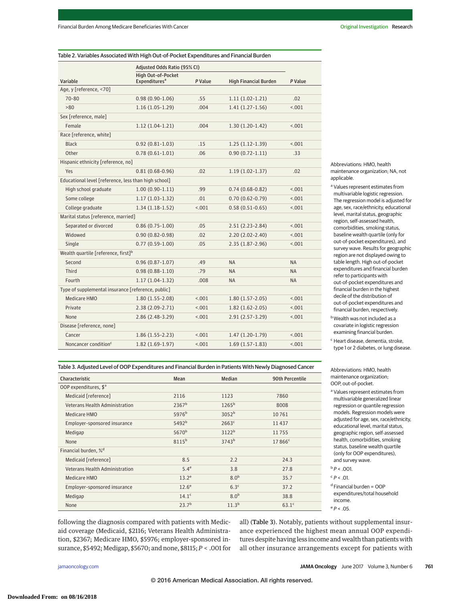Table 2. Variables Associated With High Out-of-Pocket Expenditures and Financial Burden

|                                                      | Adjusted Odds Ratio (95% CI)    |         |                              |           |  |  |
|------------------------------------------------------|---------------------------------|---------|------------------------------|-----------|--|--|
|                                                      | <b>High Out-of-Pocket</b>       |         |                              |           |  |  |
| Variable                                             | <b>Expenditures<sup>a</sup></b> | P Value | <b>High Financial Burden</b> | P Value   |  |  |
| Age, y [reference, <70]                              |                                 |         |                              |           |  |  |
| 70-80                                                | $0.98(0.90-1.06)$               | .55     | $1.11(1.02-1.21)$            | .02       |  |  |
| >80                                                  | $1.16(1.05-1.29)$               | .004    | $1.41(1.27-1.56)$            | < .001    |  |  |
| Sex [reference, male]                                |                                 |         |                              |           |  |  |
| Female                                               | $1.12(1.04-1.21)$               | .004    | $1.30(1.20-1.42)$            | < 0.01    |  |  |
| Race [reference, white]                              |                                 |         |                              |           |  |  |
| <b>Black</b>                                         | $0.92(0.81 - 1.03)$             | .15     | $1.25(1.12-1.39)$            | 1001      |  |  |
| Other                                                | $0.78(0.61 - 1.01)$             | .06     | $0.90(0.72 - 1.11)$          | .33       |  |  |
| Hispanic ethnicity [reference, no]                   |                                 |         |                              |           |  |  |
| Yes                                                  | $0.81(0.68-0.96)$               | .02     | $1.19(1.02 - 1.37)$          | .02       |  |  |
| Educational level [reference, less than high school] |                                 |         |                              |           |  |  |
| High school graduate                                 | $1.00(0.90-1.11)$               | .99     | $0.74(0.68-0.82)$            | < .001    |  |  |
| Some college                                         | $1.17(1.03-1.32)$               | .01     | $0.70(0.62 - 0.79)$          | < 0.01    |  |  |
| College graduate                                     | $1.34(1.18-1.52)$               | 0.001   | $0.58(0.51-0.65)$            | < .001    |  |  |
| Marital status [reference, married]                  |                                 |         |                              |           |  |  |
| Separated or divorced                                | $0.86(0.75-1.00)$               | .05     | $2.51(2.23-2.84)$            | < .001    |  |  |
| Widowed                                              | $0.90(0.82 - 0.98)$             | .02     | $2.20(2.02 - 2.40)$          | 1001      |  |  |
| Single                                               | $0.77(0.59-1.00)$               | .05     | $2.35(1.87 - 2.96)$          | < 0.01    |  |  |
| Wealth quartile [reference, first] <sup>b</sup>      |                                 |         |                              |           |  |  |
| Second                                               | $0.96(0.87 - 1.07)$             | .49     | <b>NA</b>                    | <b>NA</b> |  |  |
| Third                                                | $0.98(0.88 - 1.10)$             | .79     | <b>NA</b>                    | <b>NA</b> |  |  |
| Fourth                                               | $1.17(1.04-1.32)$               | .008    | <b>NA</b>                    | <b>NA</b> |  |  |
| Type of supplemental insurance [reference, public]   |                                 |         |                              |           |  |  |
| <b>Medicare HMO</b>                                  | $1.80(1.55 - 2.08)$             | < .001  | $1.80(1.57-2.05)$            | < .001    |  |  |
| Private                                              | $2.38(2.09-2.71)$               | < .001  | $1.82(1.62 - 2.05)$          | 1001      |  |  |
| None                                                 | $2.86(2.48-3.29)$               | < 0.01  | $2.91(2.57 - 3.29)$          | < 0.01    |  |  |
| Disease [reference, none]                            |                                 |         |                              |           |  |  |
| Cancer                                               | $1.86(1.55 - 2.23)$             | < .001  | $1.47(1.20-1.79)$            | < 0.01    |  |  |
| Noncancer condition <sup>c</sup>                     | $1.82(1.69-1.97)$               | < .001  | $1.69(1.57-1.83)$            | < .001    |  |  |

Table 3. Adjusted Level of OOP Expenditures and Financial Burden in Patients With Newly Diagnosed Cancer Characteristic Mean Median 90th Percentile

Medicaid [reference] 2116 1123 7860 Veterans Health Administration 2367<sup>b</sup> 1265<sup>b</sup> 8008 Medicare HMO 5976b 3052b 3052b 10 761 Employer-sponsored insurance 5492<sup>b</sup> 2663<sup>c</sup> 2663<sup>c</sup> 11 437 Medigap  $5670<sup>b</sup>$  3122<sup>b</sup> 11 755 None  $8115^{\rm b}$   $3743^{\rm b}$   $17866^{\rm c}$ 

Medicaid [reference] 2.5 2.2 24.3 Veterans Health Administration 5.4<sup>e</sup> 5.4<sup>e</sup> 3.8 27.8 Medicare HMO  $13.2^e$   $8.0^b$   $35.7$ Employer-sponsored insurance  $12.6^e$  6.3<sup>c</sup> 6.3<sup>c</sup> 37.2 Medigap  $14.1^{\circ}$   $8.0^{\circ}$  38.8 None 23.7<sup>b</sup> 11.3<sup>b</sup> 63.1<sup>c</sup>

Abbreviations: HMO, health maintenance organization; NA, not applicable.

<sup>a</sup> Values represent estimates from multivariable logistic regression. The regression model is adjusted for age, sex, race/ethnicity, educational level, marital status, geographic region, self-assessed health, comorbidities, smoking status, baseline wealth quartile (only for out-of-pocket expenditures), and survey wave. Results for geographic region are not displayed owing to table length. High out-of-pocket expenditures and financial burden refer to participants with out-of-pocket expenditures and financial burden in the highest decile of the distribution of out-of-pocket expenditures and financial burden, respectively.

bWealth was not included as a covariate in logistic regression examining financial burden.

<sup>c</sup> Heart disease, dementia, stroke, type 1 or 2 diabetes, or lung disease.

Abbreviations: HMO, health maintenance organization; OOP, out-of-pocket.

<sup>a</sup> Values represent estimates from multivariable generalized linear regression or quantile regression models. Regression models were adjusted for age, sex, race/ethnicity, educational level, marital status, geographic region, self-assessed health, comorbidities, smoking status, baseline wealth quartile (only for OOP expenditures), and survey wave.  $b$   $P$  < .001.

 $d$  Financial burden =  $OOP$ expenditures/total household income.  $e p_c n5$ 

following the diagnosis compared with patients with Medicaid coverage (Medicaid, \$2116; Veterans Health Administration, \$2367; Medicare HMO, \$5976; employer-sponsored insurance, \$5492; Medigap, \$5670; and none, \$8115; *P* < .001 for all) (Table 3). Notably, patients without supplemental insurance experienced the highest mean annual OOP expenditures despite having less income and wealth than patients with all other insurance arrangements except for patients with

OOP expenditures, \$<sup>a</sup>

Financial burden, %<sup>d</sup>

 $c$   $P < .01$ .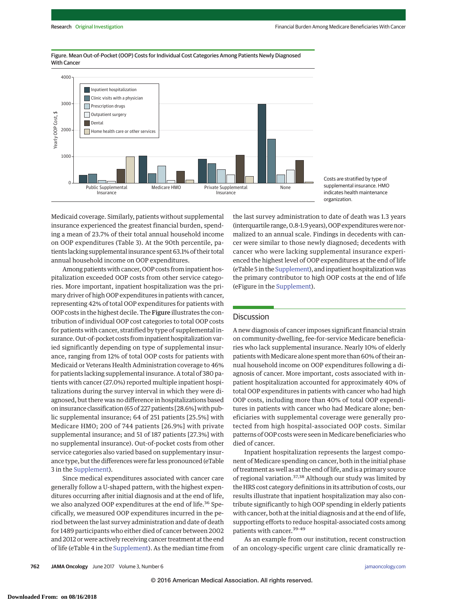

Figure. Mean Out-of-Pocket (OOP) Costs for Individual Cost Categories Among Patients Newly Diagnosed With Cancer



Medicaid coverage. Similarly, patients without supplemental insurance experienced the greatest financial burden, spending a mean of 23.7% of their total annual household income on OOP expenditures (Table 3). At the 90th percentile, patients lacking supplemental insurance spent 63.1% of their total annual household income on OOP expenditures.

Among patients with cancer, OOP costs from inpatient hospitalization exceeded OOP costs from other service categories. More important, inpatient hospitalization was the primary driver of high OOP expenditures in patients with cancer, representing 42% of total OOP expenditures for patients with OOP costs in the highest decile. The Figure illustrates the contribution of individual OOP cost categories to total OOP costs for patients with cancer, stratified by type of supplemental insurance. Out-of-pocket costs from inpatient hospitalization varied significantly depending on type of supplemental insurance, ranging from 12% of total OOP costs for patients with Medicaid or Veterans Health Administration coverage to 46% for patients lacking supplemental insurance. A total of 380 patients with cancer (27.0%) reported multiple inpatient hospitalizations during the survey interval in which they were diagnosed, but there was no difference in hospitalizations based on insurance classification (65 of 227 patients [28.6%] with public supplemental insurance; 64 of 251 patients [25.5%] with Medicare HMO; 200 of 744 patients [26.9%] with private supplemental insurance; and 51 of 187 patients [27.3%] with no supplemental insurance). Out-of-pocket costs from other service categories also varied based on supplementary insurance type, but the differences were far less pronounced (eTable 3 in the [Supplement\)](http://jama.jamanetwork.com/article.aspx?doi=10.1001/jamaoncol.2016.4865&utm_campaign=articlePDF%26utm_medium=articlePDFlink%26utm_source=articlePDF%26utm_content=jamaoncol.2016.4865).

Since medical expenditures associated with cancer care generally follow a U-shaped pattern, with the highest expenditures occurring after initial diagnosis and at the end of life, we also analyzed OOP expenditures at the end of life.<sup>36</sup> Specifically, we measured OOP expenditures incurred in the period between the last survey administration and date of death for 1489 participants who either died of cancer between 2002 and 2012 or were actively receiving cancer treatment at the end of life (eTable 4 in the [Supplement\)](http://jama.jamanetwork.com/article.aspx?doi=10.1001/jamaoncol.2016.4865&utm_campaign=articlePDF%26utm_medium=articlePDFlink%26utm_source=articlePDF%26utm_content=jamaoncol.2016.4865). As the median time from the last survey administration to date of death was 1.3 years (interquartile range, 0.8-1.9 years), OOP expenditures were normalized to an annual scale. Findings in decedents with cancer were similar to those newly diagnosed; decedents with cancer who were lacking supplemental insurance experienced the highest level of OOP expenditures at the end of life (eTable 5 in the [Supplement\)](http://jama.jamanetwork.com/article.aspx?doi=10.1001/jamaoncol.2016.4865&utm_campaign=articlePDF%26utm_medium=articlePDFlink%26utm_source=articlePDF%26utm_content=jamaoncol.2016.4865), and inpatient hospitalization was the primary contributor to high OOP costs at the end of life (eFigure in the [Supplement\)](http://jama.jamanetwork.com/article.aspx?doi=10.1001/jamaoncol.2016.4865&utm_campaign=articlePDF%26utm_medium=articlePDFlink%26utm_source=articlePDF%26utm_content=jamaoncol.2016.4865).

#### **Discussion**

A new diagnosis of cancer imposes significant financial strain on community-dwelling, fee-for-service Medicare beneficiaries who lack supplemental insurance. Nearly 10% of elderly patients with Medicare alone spent more than 60% of their annual household income on OOP expenditures following a diagnosis of cancer. More important, costs associated with inpatient hospitalization accounted for approximately 40% of total OOP expenditures in patients with cancer who had high OOP costs, including more than 40% of total OOP expenditures in patients with cancer who had Medicare alone; beneficiaries with supplemental coverage were generally protected from high hospital-associated OOP costs. Similar patterns of OOP costs were seen in Medicare beneficiaries who died of cancer.

Inpatient hospitalization represents the largest component of Medicare spending on cancer, both in the initial phase of treatment as well as at the end of life, and is a primary source of regional variation.37,38 Although our study was limited by the HRS cost category definitions in its attribution of costs, our results illustrate that inpatient hospitalization may also contribute significantly to high OOP spending in elderly patients with cancer, both at the initial diagnosis and at the end of life, supporting efforts to reduce hospital-associated costs among patients with cancer.<sup>39-49</sup>

As an example from our institution, recent construction of an oncology-specific urgent care clinic dramatically re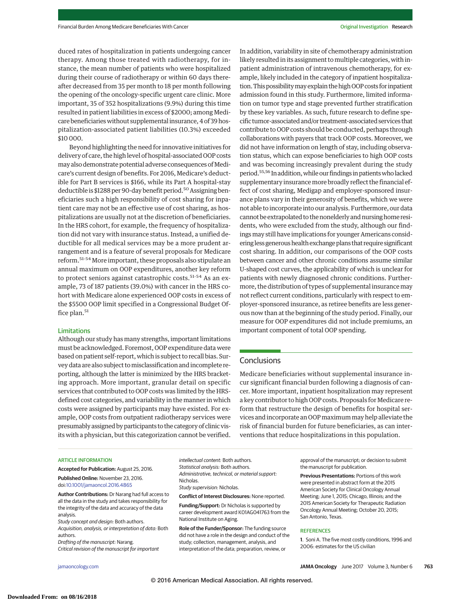duced rates of hospitalization in patients undergoing cancer therapy. Among those treated with radiotherapy, for instance, the mean number of patients who were hospitalized during their course of radiotherapy or within 60 days thereafter decreased from 35 per month to 18 per month following the opening of the oncology-specific urgent care clinic. More important, 35 of 352 hospitalizations (9.9%) during this time resulted in patient liabilities in excess of \$2000; among Medicare beneficiaries without supplemental insurance, 4 of 39 hospitalization-associated patient liabilities (10.3%) exceeded \$10 000.

Beyond highlighting the need for innovative initiatives for delivery of care, the high level of hospital-associated OOP costs may also demonstrate potential adverse consequences of Medicare's current design of benefits. For 2016, Medicare's deductible for Part B services is \$166, while its Part A hospital-stay deductible is \$1288 per 90-day benefit period.<sup>50</sup> Assigning beneficiaries such a high responsibility of cost sharing for inpatient care may not be an effective use of cost sharing, as hospitalizations are usually not at the discretion of beneficiaries. In the HRS cohort, for example, the frequency of hospitalization did not vary with insurance status. Instead, a unified deductible for all medical services may be a more prudent arrangement and is a feature of several proposals for Medicare reform.<sup>51-54</sup> More important, these proposals also stipulate an annual maximum on OOP expenditures, another key reform to protect seniors against catastrophic costs.<sup>51-54</sup> As an example, 73 of 187 patients (39.0%) with cancer in the HRS cohort with Medicare alone experienced OOP costs in excess of the \$5500 OOP limit specified in a Congressional Budget Office plan.<sup>51</sup>

#### Limitations

Although our study has many strengths, important limitations must be acknowledged. Foremost, OOP expenditure data were based on patient self-report, which is subject to recall bias. Survey data are also subject tomisclassification and incomplete reporting, although the latter is minimized by the HRS bracketing approach. More important, granular detail on specific services that contributed to OOP costs was limited by the HRSdefined cost categories, and variability in the manner in which costs were assigned by participants may have existed. For example, OOP costs from outpatient radiotherapy services were presumably assigned by participants to the category of clinic visits with a physician, but this categorization cannot be verified.

In addition, variability in site of chemotherapy administration likely resulted in its assignment to multiple categories, with inpatient administration of intravenous chemotherapy, for example, likely included in the category of inpatient hospitalization. This possibility may explain the high OOP costs for inpatient admission found in this study. Furthermore, limited information on tumor type and stage prevented further stratification by these key variables. As such, future research to define specific tumor-associated and/or treatment-associated services that contribute to OOP costs should be conducted, perhaps through collaborations with payers that track OOP costs. Moreover, we did not have information on length of stay, including observation status, which can expose beneficiaries to high OOP costs and was becoming increasingly prevalent during the study period.<sup>55,56</sup> In addition, while our findings in patients who lacked supplementary insurance more broadly reflect the financial effect of cost sharing, Medigap and employer-sponsored insurance plans vary in their generosity of benefits, which we were not able to incorporate into our analysis. Furthermore, our data cannot be extrapolated to the nonelderly and nursing home residents, who were excluded from the study, although our findings may still have implications for younger Americans considering less generous health exchange plans that require significant cost sharing. In addition, our comparisons of the OOP costs between cancer and other chronic conditions assume similar U-shaped cost curves, the applicability of which is unclear for patients with newly diagnosed chronic conditions. Furthermore, the distribution of types of supplemental insurancemay not reflect current conditions, particularly with respect to employer-sponsored insurance, as retiree benefits are less generous now than at the beginning of the study period. Finally, our measure for OOP expenditures did not include premiums, an important component of total OOP spending.

### **Conclusions**

Medicare beneficiaries without supplemental insurance incur significant financial burden following a diagnosis of cancer. More important, inpatient hospitalization may represent a key contributor to high OOP costs. Proposals for Medicare reform that restructure the design of benefits for hospital services and incorporate an OOP maximum may help alleviate the risk of financial burden for future beneficiaries, as can interventions that reduce hospitalizations in this population.

#### ARTICLE INFORMATION

**Accepted for Publication:** August 25, 2016.

**Published Online:** November 23, 2016. doi[:10.1001/jamaoncol.2016.4865](http://jama.jamanetwork.com/article.aspx?doi=10.1001/jamaoncol.2016.4865&utm_campaign=articlePDF%26utm_medium=articlePDFlink%26utm_source=articlePDF%26utm_content=jamaoncol.2016.4865)

**Author Contributions:** Dr Narang had full access to all the data in the study and takes responsibility for the integrity of the data and accuracy of the data analysis.

Study concept and design: Both authors. Acquisition, analysis, or interpretation of data: Both authors.

Drafting of the manuscript: Narang. Critical revision of the manuscript for important

intellectual content: Both authors. Statistical analysis: Both authors. Administrative, technical, or material support: Nicholas. Study supervision: Nicholas.

**Conflict of Interest Disclosures:** None reported.

**Funding/Support:** Dr Nicholas is supported by career development award K01AG041763 from the National Institute on Aging.

**Role of the Funder/Sponsor:** The funding source did not have a role in the design and conduct of the study; collection, management, analysis, and interpretation of the data; preparation, review, or

approval of the manuscript; or decision to submit the manuscript for publication.

**Previous Presentations:** Portions of this work were presented in abstract form at the 2015 American Society for Clinical Oncology Annual Meeting; June 1, 2015; Chicago, Illinois; and the 2015 American Society for Therapeutic Radiation Oncology Annual Meeting; October 20, 2015; San Antonio, Texas.

#### **REFERENCES**

**1**. Soni A. The five most costly conditions, 1996 and 2006: estimates for the US civilian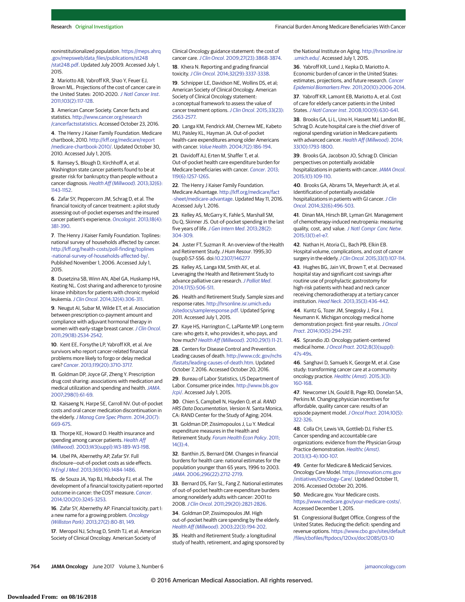noninstitutionalized population. [https://meps.ahrq](https://meps.ahrq.gov/mepsweb/data_files/publications/st248/stat248.pdf) [.gov/mepsweb/data\\_files/publications/st248](https://meps.ahrq.gov/mepsweb/data_files/publications/st248/stat248.pdf) [/stat248.pdf.](https://meps.ahrq.gov/mepsweb/data_files/publications/st248/stat248.pdf) Updated July 2009. Accessed July 1, 2015.

**2**. Mariotto AB, Yabroff KR, Shao Y, Feuer EJ, Brown ML. Projections of the cost of cancer care in the United States: 2010-2020. [J Natl Cancer Inst](https://www.ncbi.nlm.nih.gov/pubmed/21228314). [2011;103\(2\):117-128.](https://www.ncbi.nlm.nih.gov/pubmed/21228314)

**3**. American Cancer Society. Cancer facts and statistics. [http://www.cancer.org/research](http://www.cancer.org/research/cancerfactsstatistics) [/cancerfactsstatistics.](http://www.cancer.org/research/cancerfactsstatistics) Accessed October 23, 2016.

**4**. The Henry J Kaiser Family Foundation. Medicare chartbook, 2010. [http://kff.org/medicare/report](http://kff.org/medicare/report/medicare-chartbook-2010/) [/medicare-chartbook-2010/.](http://kff.org/medicare/report/medicare-chartbook-2010/) Updated October 30, 2010. Accessed July 1, 2015.

**5**. Ramsey S, Blough D, Kirchhoff A, et al. Washington state cancer patients found to be at greater risk for bankruptcy than people without a cancer diagnosis. [Health Aff \(Millwood\)](https://www.ncbi.nlm.nih.gov/pubmed/23676531). 2013;32(6): [1143-1152.](https://www.ncbi.nlm.nih.gov/pubmed/23676531)

**6**. Zafar SY, Peppercorn JM, Schrag D, et al. The financial toxicity of cancer treatment: a pilot study assessing out-of-pocket expenses and the insured cancer patient's experience. Oncologist[. 2013;18\(4\):](https://www.ncbi.nlm.nih.gov/pubmed/23442307) [381-390.](https://www.ncbi.nlm.nih.gov/pubmed/23442307)

**7**. The Henry J Kaiser Family Foundation. Toplines: national survey of households affected by cancer. [http://kff.org/health-costs/poll-finding/toplines](http://kff.org/health-costs/poll-finding/toplines-national-survey-of-households-affected-by/) [-national-survey-of-households-affected-by/.](http://kff.org/health-costs/poll-finding/toplines-national-survey-of-households-affected-by/) Published November 1, 2006. Accessed July 1, 2015.

**8**. Dusetzina SB, Winn AN, Abel GA, Huskamp HA, Keating NL. Cost sharing and adherence to tyrosine kinase inhibitors for patients with chronic myeloid leukemia. J Clin Oncol[. 2014;32\(4\):306-311.](https://www.ncbi.nlm.nih.gov/pubmed/24366936)

**9**. Neugut AI, Subar M, Wilde ET, et al. Association between prescription co-payment amount and compliance with adjuvant hormonal therapy in women with early-stage breast cancer. [J Clin Oncol](https://www.ncbi.nlm.nih.gov/pubmed/21606426). [2011;29\(18\):2534-2542.](https://www.ncbi.nlm.nih.gov/pubmed/21606426)

**10**. Kent EE, Forsythe LP, Yabroff KR, et al. Are survivors who report cancer-related financial problems more likely to forgo or delay medical care? Cancer[. 2013;119\(20\):3710-3717.](https://www.ncbi.nlm.nih.gov/pubmed/23907958)

**11**. Goldman DP, Joyce GF, Zheng Y. Prescription drug cost sharing: associations with medication and medical utilization and spending and health. [JAMA](https://www.ncbi.nlm.nih.gov/pubmed/17609491). [2007;298\(1\):61-69.](https://www.ncbi.nlm.nih.gov/pubmed/17609491)

**12**. Kaisaeng N, Harpe SE, Carroll NV. Out-of-pocket costs and oral cancer medication discontinuation in the elderly. [J Manag Care Spec Pharm](https://www.ncbi.nlm.nih.gov/pubmed/24967520). 2014;20(7): [669-675.](https://www.ncbi.nlm.nih.gov/pubmed/24967520)

**13**. Thorpe KE, Howard D. Health insurance and spending among cancer patients. [Health Aff](https://www.ncbi.nlm.nih.gov/pubmed/14527252) (Millwood)[. 2003;W3\(suppl\):W3-189-W3-198.](https://www.ncbi.nlm.nih.gov/pubmed/14527252)

**14**. Ubel PA, Abernethy AP, Zafar SY. Full disclosure—out-of-pocket costs as side effects. N Engl J Med[. 2013;369\(16\):1484-1486.](https://www.ncbi.nlm.nih.gov/pubmed/24131175)

**15**. de Souza JA, Yap BJ, Hlubocky FJ, et al. The development of a financial toxicity patient-reported outcome in cancer: the COST measure. [Cancer](https://www.ncbi.nlm.nih.gov/pubmed/24954526). [2014;120\(20\):3245-3253.](https://www.ncbi.nlm.nih.gov/pubmed/24954526)

**16**. Zafar SY, Abernethy AP. Financial toxicity, part I: a new name for a growing problem. [Oncology](https://www.ncbi.nlm.nih.gov/pubmed/23530397) (Williston Park)[. 2013;27\(2\):80-81, 149.](https://www.ncbi.nlm.nih.gov/pubmed/23530397)

**17**. Meropol NJ, Schrag D, Smith TJ, et al; American Society of Clinical Oncology. American Society of

Clinical Oncology guidance statement: the cost of cancer care.J Clin Oncol[. 2009;27\(23\):3868-3874.](https://www.ncbi.nlm.nih.gov/pubmed/19581533)

**18**. Khera N. Reporting and grading financial toxicity.J Clin Oncol[. 2014;32\(29\):3337-3338.](https://www.ncbi.nlm.nih.gov/pubmed/25199760)

**19**. Schnipper LE, Davidson NE, Wollins DS, et al; American Society of Clinical Oncology. American Society of Clinical Oncology statement: a conceptual framework to assess the value of cancer treatment options. J Clin Oncol[. 2015;33\(23\):](https://www.ncbi.nlm.nih.gov/pubmed/26101248) [2563-2577.](https://www.ncbi.nlm.nih.gov/pubmed/26101248)

**20**. Langa KM, Fendrick AM, Chernew ME, Kabeto MU, Paisley KL, Hayman JA. Out-of-pocket health-care expenditures among older Americans with cancer. Value Health[. 2004;7\(2\):186-194.](https://www.ncbi.nlm.nih.gov/pubmed/15164808)

**21**. Davidoff AJ, Erten M, Shaffer T, et al. Out-of-pocket health care expenditure burden for Medicare beneficiaries with cancer. [Cancer](https://www.ncbi.nlm.nih.gov/pubmed/23225522). 2013; [119\(6\):1257-1265.](https://www.ncbi.nlm.nih.gov/pubmed/23225522)

**22**. The Henry J Kaiser Family Foundation. Medicare Advantage. [http://kff.org/medicare/fact](http://kff.org/medicare/fact-sheet/medicare-advantage) [-sheet/medicare-advantage.](http://kff.org/medicare/fact-sheet/medicare-advantage) Updated May 11, 2016. Accessed July 1, 2016.

**23**. Kelley AS, McGarry K, Fahle S, Marshall SM, Du Q, Skinner JS. Out-of-pocket spending in the last five years of life. [J Gen Intern Med](https://www.ncbi.nlm.nih.gov/pubmed/22948931). 2013;28(2): [304-309.](https://www.ncbi.nlm.nih.gov/pubmed/22948931)

**24**. Juster FT, Suzman R. An overview of the Health and Retirement Study. J Hum Resour. 1995;30 (suppl):S7-S56. doi[:10.2307/146277](http://dx.doi.org/10.2307/146277)

**25**. Kelley AS, Langa KM, Smith AK, et al. Leveraging the Health and Retirement Study to advance palliative care research. [J Palliat Med](https://www.ncbi.nlm.nih.gov/pubmed/24694096). [2014;17\(5\):506-511.](https://www.ncbi.nlm.nih.gov/pubmed/24694096)

**26**. Health and Retirement Study. Sample sizes and response rates. [http://hrsonline.isr.umich.edu](http://hrsonline.isr.umich.edu/sitedocs/sampleresponse.pdf) [/sitedocs/sampleresponse.pdf.](http://hrsonline.isr.umich.edu/sitedocs/sampleresponse.pdf) Updated Spring 2011. Accessed July 1, 2015.

**27**. Kaye HS, Harrington C, LaPlante MP. Long-term care: who gets it, who provides it, who pays, and how much? [Health Aff \(Millwood\)](https://www.ncbi.nlm.nih.gov/pubmed/20048355). 2010;29(1):11-21.

**28**. Centers for Disease Control and Prevention. Leading causes of death. [http://www.cdc.gov/nchs](http://www.cdc.gov/nchs/fastats/leading-causes-of-death.htm) [/fastats/leading-causes-of-death.htm.](http://www.cdc.gov/nchs/fastats/leading-causes-of-death.htm) Updated October 7, 2016. Accessed October 20, 2016.

**29**. Bureau of Labor Statistics, US Department of Labor. Consumer price index. [http://www.bls.gov](http://www.bls.gov/cpi/) [/cpi/.](http://www.bls.gov/cpi/) Accessed July 1, 2015.

**30**. Chien S, Campbell N, Hayden O, et al. RAND HRS Data Documentation, Version N. Santa Monica, CA: RAND Center for the Study of Aging; 2014.

**31**. Goldman DP, Zissimopoulos J, Lu Y. Medical expenditure measures in the Health and Retirement Study. [Forum Health Econ Policy](https://www.ncbi.nlm.nih.gov/pubmed/24049512). 2011; [14\(3\):4.](https://www.ncbi.nlm.nih.gov/pubmed/24049512)

**32**. Banthin JS, Bernard DM. Changes in financial burdens for health care: national estimates for the population younger than 65 years, 1996 to 2003. JAMA[. 2006;296\(22\):2712-2719.](https://www.ncbi.nlm.nih.gov/pubmed/17164457)

**33**. Bernard DS, Farr SL, Fang Z. National estimates of out-of-pocket health care expenditure burdens among nonelderly adults with cancer: 2001 to 2008.J Clin Oncol[. 2011;29\(20\):2821-2826.](https://www.ncbi.nlm.nih.gov/pubmed/21632508)

**34**. Goldman DP, Zissimopoulos JM. High out-of-pocket health care spending by the elderly. Health Aff (Millwood)[. 2003;22\(3\):194-202.](https://www.ncbi.nlm.nih.gov/pubmed/12757285)

**35**. Health and Retirement Study: a longitudinal study of health, retirement, and aging sponsored by the National Institute on Aging. [http://hrsonline.isr](http://hrsonline.isr.umich.edu/) [.umich.edu/.](http://hrsonline.isr.umich.edu/) Accessed July 1, 2015.

**36**. Yabroff KR, Lund J, Kepka D, Mariotto A. Economic burden of cancer in the United States: estimates, projections, and future research. [Cancer](https://www.ncbi.nlm.nih.gov/pubmed/21980008) [Epidemiol Biomarkers Prev](https://www.ncbi.nlm.nih.gov/pubmed/21980008). 2011;20(10):2006-2014.

**37**. Yabroff KR, Lamont EB, Mariotto A, et al. Cost of care for elderly cancer patients in the United States.J Natl Cancer Inst[. 2008;100\(9\):630-641.](https://www.ncbi.nlm.nih.gov/pubmed/18445825)

**38.** Brooks GA, Li L, Uno H, Hassett MJ, Landon BE Schrag D. Acute hospital care is the chief driver of regional spending variation in Medicare patients with advanced cancer. [Health Aff \(Millwood\)](https://www.ncbi.nlm.nih.gov/pubmed/25288424). 2014; [33\(10\):1793-1800.](https://www.ncbi.nlm.nih.gov/pubmed/25288424)

**39**. Brooks GA, Jacobson JO, Schrag D. Clinician perspectives on potentially avoidable hospitalizations in patients with cancer. [JAMA Oncol](https://www.ncbi.nlm.nih.gov/pubmed/26146663). [2015;1\(1\):109-110.](https://www.ncbi.nlm.nih.gov/pubmed/26146663)

**40**. Brooks GA, Abrams TA, Meyerhardt JA, et al. Identification of potentially avoidable hospitalizations in patients with GI cancer. [J Clin](https://www.ncbi.nlm.nih.gov/pubmed/24419123) Oncol[. 2014;32\(6\):496-503.](https://www.ncbi.nlm.nih.gov/pubmed/24419123)

**41**. Dinan MA, Hirsch BR, Lyman GH. Management of chemotherapy-induced neutropenia: measuring quality, cost, and value. [J Natl Compr Canc Netw](https://www.ncbi.nlm.nih.gov/pubmed/25583775). [2015;13\(1\):e1-e7.](https://www.ncbi.nlm.nih.gov/pubmed/25583775)

**42**. Nathan H, Atoria CL, Bach PB, Elkin EB. Hospital volume, complications, and cost of cancer surgery in the elderly. J Clin Oncol[. 2015;33\(1\):107-114.](https://www.ncbi.nlm.nih.gov/pubmed/25422483)

**43**. Hughes BG, Jain VK, Brown T, et al. Decreased hospital stay and significant cost savings after routine use of prophylactic gastrostomy for high-risk patients with head and neck cancer receiving chemoradiotherapy at a tertiary cancer institution. Head Neck[. 2013;35\(3\):436-442.](https://www.ncbi.nlm.nih.gov/pubmed/22605643)

**44**. Kuntz G, Tozer JM, Snegosky J, Fox J, Neumann K. Michigan oncology medical home demonstration project: first-year results. [J Oncol](https://www.ncbi.nlm.nih.gov/pubmed/24986111) Pract[. 2014;10\(5\):294-297.](https://www.ncbi.nlm.nih.gov/pubmed/24986111)

**45**. Sprandio JD. Oncology patient-centered medical home.J Oncol Pract[. 2012;8\(3\)\(suppl\):](https://www.ncbi.nlm.nih.gov/pubmed/22942826) [47s-49s.](https://www.ncbi.nlm.nih.gov/pubmed/22942826)

**46**. Sanghavi D, Samuels K, George M, et al. Case study: transforming cancer care at a community oncology practice. [Healthc \(Amst\)](https://www.ncbi.nlm.nih.gov/pubmed/26384229). 2015;3(3): [160-168.](https://www.ncbi.nlm.nih.gov/pubmed/26384229)

**47**. Newcomer LN, Gould B, Page RD, Donelan SA, Perkins M. Changing physician incentives for affordable, quality cancer care: results of an episode payment model. [J Oncol Pract](https://www.ncbi.nlm.nih.gov/pubmed/25006221). 2014;10(5): [322-326.](https://www.ncbi.nlm.nih.gov/pubmed/25006221)

**48**. Colla CH, Lewis VA, Gottlieb DJ, Fisher ES. Cancer spending and accountable care organizations: evidence from the Physician Group Practice demonstration. [Healthc \(Amst\)](https://www.ncbi.nlm.nih.gov/pubmed/25072017). [2013;1\(3-4\):100-107.](https://www.ncbi.nlm.nih.gov/pubmed/25072017)

**49**. Center for Medicare & Medicaid Services. Oncology Care Model. [https://innovation.cms.gov](https://innovation.cms.gov/initiatives/Oncology-Care/) [/initiatives/Oncology-Care/.](https://innovation.cms.gov/initiatives/Oncology-Care/) Updated October 11, 2016. Accessed October 20, 2016.

**50**. Medicare.gov. Your Medicare costs. [https://www.medicare.gov/your-medicare-costs/.](https://www.medicare.gov/your-medicare-costs/) Accessed December 1, 2015.

**51**. Congressional Budget Office, Congress of the United States. Reducing the deficit: spending and revenue options. [https://www.cbo.gov/sites/default](https://www.cbo.gov/sites/default/files/cbofiles/ftpdocs/120xx/doc12085/03-10-reducingthedeficit.pdf) [/files/cbofiles/ftpdocs/120xx/doc12085/03-10](https://www.cbo.gov/sites/default/files/cbofiles/ftpdocs/120xx/doc12085/03-10-reducingthedeficit.pdf)